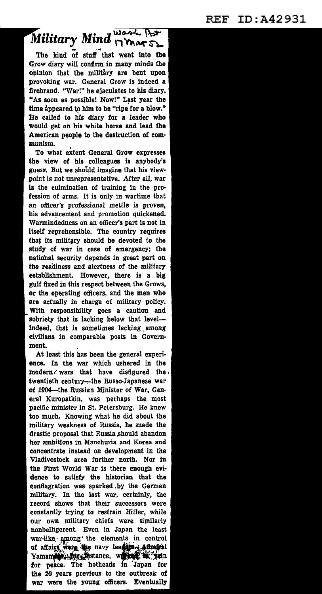## Military Mind **provement that**<br>The kind of stuff that went into the

Grow diary will confirm in many minds the opinion that the military are bent upon provoking war. General Grow is indeed a firebrand. "War!" he ejaculates to his diary. "As soon as possible! Now!" Last year the time appeared to him to be "ripe for a blow." He called to his diary for **a** leader who would get on his white horse and lead the American people to the destruction of com· munism.

To what extent General Grow expresses the view of his colleagues is anybody's guess. But we should imagine that his viewpoint is not unrepresentative. After all, war is the culmination of training in the pro· fession of arms. It is only in wartime that an officer's professional mettle is proven, his advancement and promotion quickened. Warmindedness on an officer's part is not in itself reprehensible. The country requires that its military should be devoted to the study of war in case of emergency; the national security depends in great part on the readiness and alertness of the military establishment. However, there is a big gulf fixed in this respect between the Grows, or the operating officers, and the men who are actually in charge of military policy. With responsibility goes a caution and sobriety that is lacking below that level-indeed, that is sometimes lacking among civilians in comparable posts in Govern· ment.

At least this has been the general experi· ence. In the war which ushered in the modem *r* wars that have disfigured the , twentieth century---the Russo-Japanese war of 1904-the Russian Minister of War, General Kuropatkin, was perhaps the most pacific minister in St. Petersburg. He knew too much. Knowing what he did about the military weakness of Russia, he made the drastic proposal that Russia should abandon her ambitions in Manchuria and Korea and concentrate instead on development in the Vladivostock area further north. Nor in the First World War is there enough evi· dence to satisfy the historian that the conflagration was sparked by the German military. In the last war, cerlainly, the record shows that their successors were constantly trying to restrain Hitler, while our own military chiefs were similarly nonbelligerent. Even in Japan the least war-like, among the elements in control of affairs were the navy lead projection Yamamid: for thstance, worked, in yein for peace. The hotheads in Japan for the 20 years previous to the outbreak of war were the young officers. Eventually